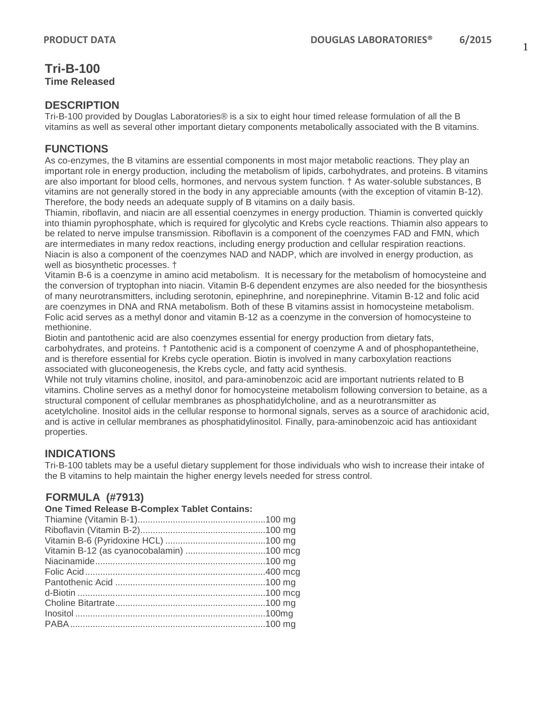# **Tri-B-100 Time Released**

### **DESCRIPTION**

Tri-B-100 provided by Douglas Laboratories® is a six to eight hour timed release formulation of all the B vitamins as well as several other important dietary components metabolically associated with the B vitamins.

### **FUNCTIONS**

As co-enzymes, the B vitamins are essential components in most major metabolic reactions. They play an important role in energy production, including the metabolism of lipids, carbohydrates, and proteins. B vitamins are also important for blood cells, hormones, and nervous system function. † As water-soluble substances, B vitamins are not generally stored in the body in any appreciable amounts (with the exception of vitamin B-12). Therefore, the body needs an adequate supply of B vitamins on a daily basis.

Thiamin, riboflavin, and niacin are all essential coenzymes in energy production. Thiamin is converted quickly into thiamin pyrophosphate, which is required for glycolytic and Krebs cycle reactions. Thiamin also appears to be related to nerve impulse transmission. Riboflavin is a component of the coenzymes FAD and FMN, which are intermediates in many redox reactions, including energy production and cellular respiration reactions. Niacin is also a component of the coenzymes NAD and NADP, which are involved in energy production, as well as biosynthetic processes. †

Vitamin B-6 is a coenzyme in amino acid metabolism. It is necessary for the metabolism of homocysteine and the conversion of tryptophan into niacin. Vitamin B-6 dependent enzymes are also needed for the biosynthesis of many neurotransmitters, including serotonin, epinephrine, and norepinephrine. Vitamin B-12 and folic acid are coenzymes in DNA and RNA metabolism. Both of these B vitamins assist in homocysteine metabolism. Folic acid serves as a methyl donor and vitamin B-12 as a coenzyme in the conversion of homocysteine to methionine.

Biotin and pantothenic acid are also coenzymes essential for energy production from dietary fats, carbohydrates, and proteins. † Pantothenic acid is a component of coenzyme A and of phosphopantetheine, and is therefore essential for Krebs cycle operation. Biotin is involved in many carboxylation reactions associated with gluconeogenesis, the Krebs cycle, and fatty acid synthesis.

While not truly vitamins choline, inositol, and para-aminobenzoic acid are important nutrients related to B vitamins. Choline serves as a methyl donor for homocysteine metabolism following conversion to betaine, as a structural component of cellular membranes as phosphatidylcholine, and as a neurotransmitter as acetylcholine. Inositol aids in the cellular response to hormonal signals, serves as a source of arachidonic acid, and is active in cellular membranes as phosphatidylinositol. Finally, para-aminobenzoic acid has antioxidant properties.

# **INDICATIONS**

Tri-B-100 tablets may be a useful dietary supplement for those individuals who wish to increase their intake of the B vitamins to help maintain the higher energy levels needed for stress control.

# **FORMULA (#7913)**

#### **One Timed Release B-Complex Tablet Contains:**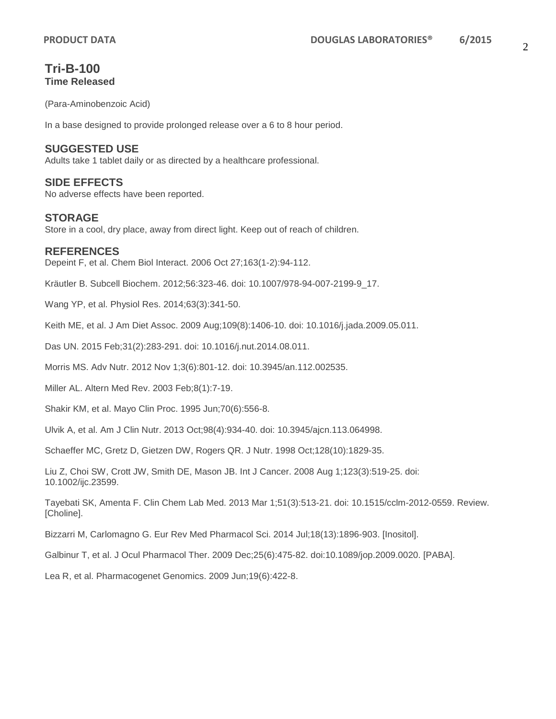# **Tri-B-100 Time Released**

(Para-Aminobenzoic Acid)

In a base designed to provide prolonged release over a 6 to 8 hour period.

### **SUGGESTED USE**

Adults take 1 tablet daily or as directed by a healthcare professional.

### **SIDE EFFECTS**

No adverse effects have been reported.

### **STORAGE**

Store in a cool, dry place, away from direct light. Keep out of reach of children.

### **REFERENCES**

Depeint F, et al. Chem Biol Interact. 2006 Oct 27;163(1-2):94-112.

Kräutler B. Subcell Biochem. 2012;56:323-46. doi: 10.1007/978-94-007-2199-9\_17.

Wang YP, et al. Physiol Res. 2014;63(3):341-50.

Keith ME, et al. J Am Diet Assoc. 2009 Aug;109(8):1406-10. doi: 10.1016/j.jada.2009.05.011.

Das UN. 2015 Feb;31(2):283-291. doi: 10.1016/j.nut.2014.08.011.

Morris MS. Adv Nutr. 2012 Nov 1;3(6):801-12. doi: 10.3945/an.112.002535.

Miller AL. Altern Med Rev. 2003 Feb;8(1):7-19.

Shakir KM, et al. Mayo Clin Proc. 1995 Jun;70(6):556-8.

Ulvik A, et al. Am J Clin Nutr. 2013 Oct;98(4):934-40. doi: 10.3945/ajcn.113.064998.

Schaeffer MC, Gretz D, Gietzen DW, Rogers QR. J Nutr. 1998 Oct;128(10):1829-35.

Liu Z, Choi SW, Crott JW, Smith DE, Mason JB. Int J Cancer. 2008 Aug 1;123(3):519-25. doi: 10.1002/ijc.23599.

Tayebati SK, Amenta F. Clin Chem Lab Med. 2013 Mar 1;51(3):513-21. doi: 10.1515/cclm-2012-0559. Review. [Choline].

Bizzarri M, Carlomagno G. Eur Rev Med Pharmacol Sci. 2014 Jul;18(13):1896-903. [Inositol].

Galbinur T, et al. J Ocul Pharmacol Ther. 2009 Dec;25(6):475-82. doi:10.1089/jop.2009.0020. [PABA].

Lea R, et al. Pharmacogenet Genomics. 2009 Jun;19(6):422-8.